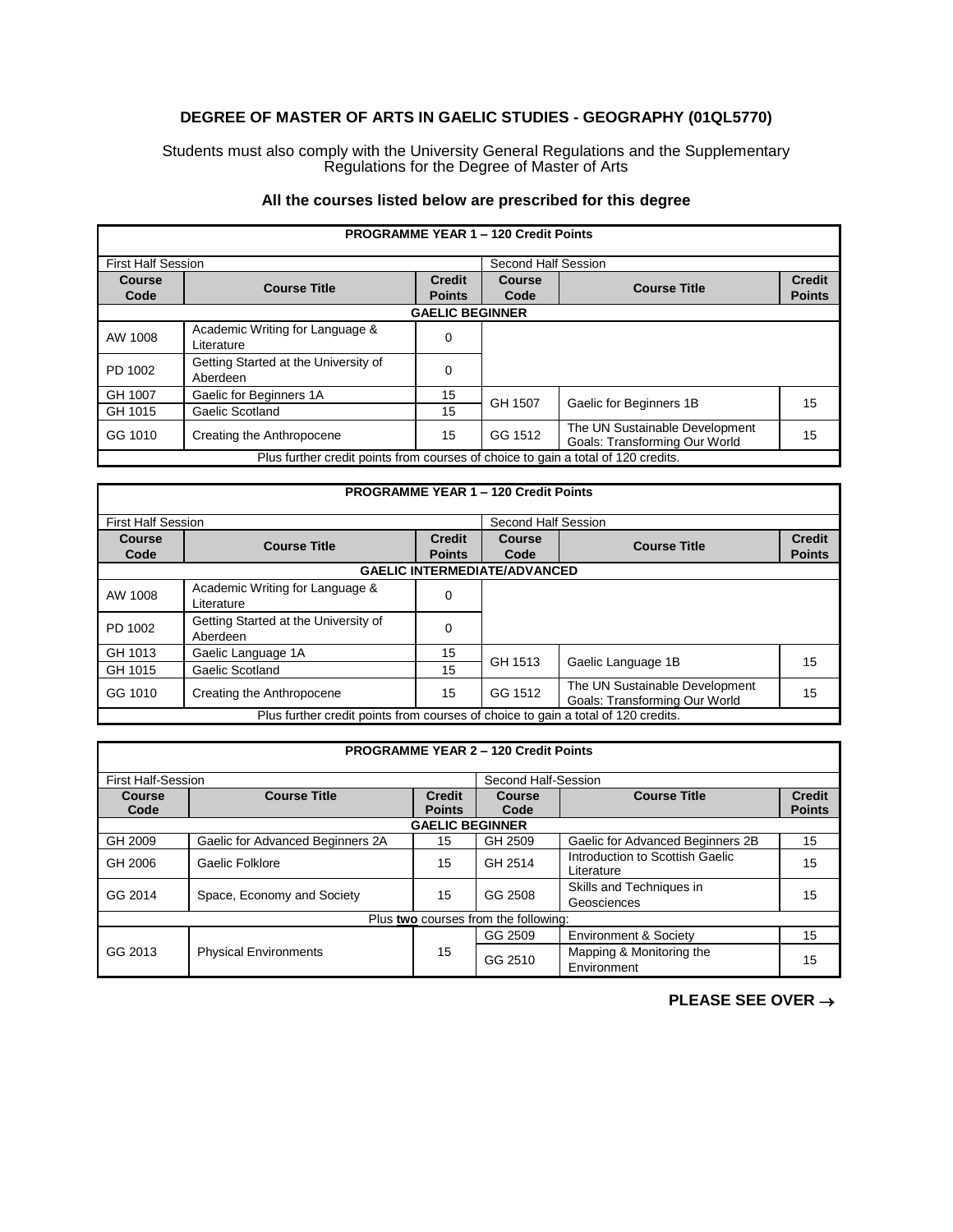## **DEGREE OF MASTER OF ARTS IN GAELIC STUDIES - GEOGRAPHY (01QL5770)**

Students must also comply with the University General Regulations and the Supplementary Regulations for the Degree of Master of Arts

## **All the courses listed below are prescribed for this degree**

| <b>PROGRAMME YEAR 1 - 120 Credit Points</b>                                       |                                                  |               |         |                                                                 |               |  |
|-----------------------------------------------------------------------------------|--------------------------------------------------|---------------|---------|-----------------------------------------------------------------|---------------|--|
|                                                                                   | <b>First Half Session</b>                        |               |         | Second Half Session                                             |               |  |
| Course                                                                            | <b>Course Title</b>                              | <b>Credit</b> | Course  | <b>Course Title</b>                                             | <b>Credit</b> |  |
| Code                                                                              |                                                  | <b>Points</b> | Code    |                                                                 | <b>Points</b> |  |
|                                                                                   | <b>GAELIC BEGINNER</b>                           |               |         |                                                                 |               |  |
| AW 1008                                                                           | Academic Writing for Language &<br>Literature    | 0             |         |                                                                 |               |  |
| PD 1002                                                                           | Getting Started at the University of<br>Aberdeen | 0             |         |                                                                 |               |  |
| GH 1007                                                                           | Gaelic for Beginners 1A                          | 15            | GH 1507 |                                                                 | 15            |  |
| GH 1015                                                                           | Gaelic Scotland                                  | 15            |         | Gaelic for Beginners 1B                                         |               |  |
| GG 1010                                                                           | Creating the Anthropocene                        | 15            | GG 1512 | The UN Sustainable Development<br>Goals: Transforming Our World | 15            |  |
| Plus further credit points from courses of choice to gain a total of 120 credits. |                                                  |               |         |                                                                 |               |  |

|                                                                                   | <b>PROGRAMME YEAR 1 - 120 Credit Points</b> |               |                     |                                |               |  |  |
|-----------------------------------------------------------------------------------|---------------------------------------------|---------------|---------------------|--------------------------------|---------------|--|--|
| <b>First Half Session</b>                                                         |                                             |               | Second Half Session |                                |               |  |  |
| Course                                                                            | <b>Course Title</b>                         | <b>Credit</b> | <b>Course</b>       | <b>Course Title</b>            | <b>Credit</b> |  |  |
| Code                                                                              |                                             | <b>Points</b> | Code                |                                | <b>Points</b> |  |  |
|                                                                                   | <b>GAELIC INTERMEDIATE/ADVANCED</b>         |               |                     |                                |               |  |  |
| AW 1008                                                                           | Academic Writing for Language &             | 0             |                     |                                |               |  |  |
|                                                                                   | Literature                                  |               |                     |                                |               |  |  |
| PD 1002                                                                           | Getting Started at the University of        | $\Omega$      |                     |                                |               |  |  |
|                                                                                   | Aberdeen                                    |               |                     |                                |               |  |  |
| GH 1013                                                                           | Gaelic Language 1A                          | 15            |                     |                                |               |  |  |
| GH 1015                                                                           | Gaelic Scotland                             | 15            | GH 1513             | Gaelic Language 1B             | 15            |  |  |
| GG 1010                                                                           | Creating the Anthropocene                   | 15            | GG 1512             | The UN Sustainable Development | 15            |  |  |
|                                                                                   |                                             |               |                     | Goals: Transforming Our World  |               |  |  |
| Plus further credit points from courses of choice to gain a total of 120 credits. |                                             |               |                     |                                |               |  |  |

| <b>PROGRAMME YEAR 2 - 120 Credit Points</b> |                                  |                                |                     |                                               |                                |  |  |
|---------------------------------------------|----------------------------------|--------------------------------|---------------------|-----------------------------------------------|--------------------------------|--|--|
| <b>First Half-Session</b>                   |                                  |                                | Second Half-Session |                                               |                                |  |  |
| Course<br>Code                              | <b>Course Title</b>              | <b>Credit</b><br><b>Points</b> | Course<br>Code      | <b>Course Title</b>                           | <b>Credit</b><br><b>Points</b> |  |  |
| <b>GAELIC BEGINNER</b>                      |                                  |                                |                     |                                               |                                |  |  |
| GH 2009                                     | Gaelic for Advanced Beginners 2A | 15                             | GH 2509             | Gaelic for Advanced Beginners 2B              | 15                             |  |  |
| GH 2006                                     | Gaelic Folklore                  | 15                             | GH 2514             | Introduction to Scottish Gaelic<br>Literature | 15                             |  |  |
| GG 2014                                     | Space, Economy and Society       | 15                             | GG 2508             | Skills and Techniques in<br>Geosciences       | 15                             |  |  |
| Plus two courses from the following:        |                                  |                                |                     |                                               |                                |  |  |
|                                             |                                  |                                | GG 2509             | <b>Environment &amp; Society</b>              | 15                             |  |  |
| GG 2013                                     | <b>Physical Environments</b>     | 15                             | GG 2510             | Mapping & Monitoring the<br>Environment       | 15                             |  |  |

**PLEASE SEE OVER** →